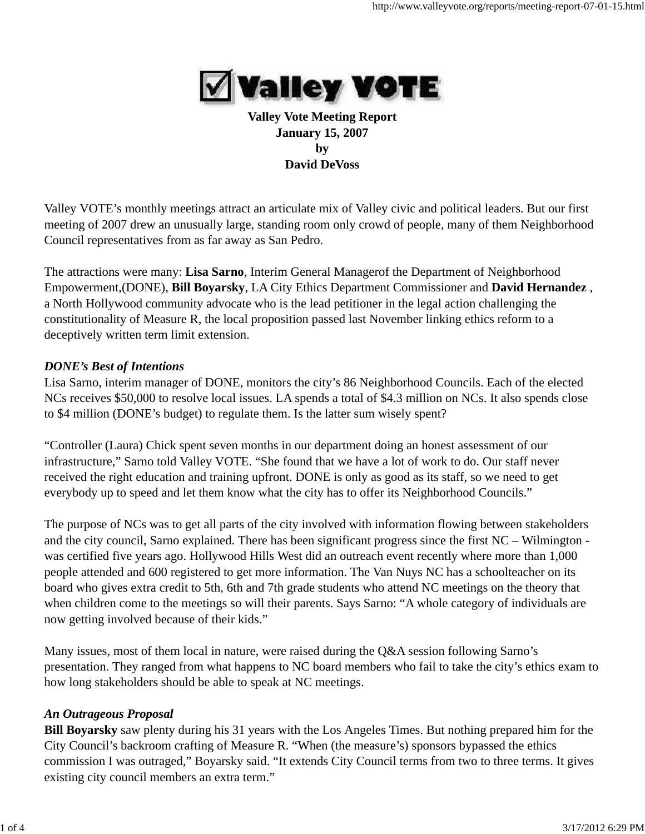

## **Valley Vote Meeting Report January 15, 2007 by David DeVoss**

Valley VOTE's monthly meetings attract an articulate mix of Valley civic and political leaders. But our first meeting of 2007 drew an unusually large, standing room only crowd of people, many of them Neighborhood Council representatives from as far away as San Pedro.

The attractions were many: **Lisa Sarno**, Interim General Managerof the Department of Neighborhood Empowerment,(DONE), **Bill Boyarsky**, LA City Ethics Department Commissioner and **David Hernandez** , a North Hollywood community advocate who is the lead petitioner in the legal action challenging the constitutionality of Measure R, the local proposition passed last November linking ethics reform to a deceptively written term limit extension.

### *DONE's Best of Intentions*

Lisa Sarno, interim manager of DONE, monitors the city's 86 Neighborhood Councils. Each of the elected NCs receives \$50,000 to resolve local issues. LA spends a total of \$4.3 million on NCs. It also spends close to \$4 million (DONE's budget) to regulate them. Is the latter sum wisely spent?

"Controller (Laura) Chick spent seven months in our department doing an honest assessment of our infrastructure," Sarno told Valley VOTE. "She found that we have a lot of work to do. Our staff never received the right education and training upfront. DONE is only as good as its staff, so we need to get everybody up to speed and let them know what the city has to offer its Neighborhood Councils."

The purpose of NCs was to get all parts of the city involved with information flowing between stakeholders and the city council, Sarno explained. There has been significant progress since the first NC – Wilmington was certified five years ago. Hollywood Hills West did an outreach event recently where more than 1,000 people attended and 600 registered to get more information. The Van Nuys NC has a schoolteacher on its board who gives extra credit to 5th, 6th and 7th grade students who attend NC meetings on the theory that when children come to the meetings so will their parents. Says Sarno: "A whole category of individuals are now getting involved because of their kids."

Many issues, most of them local in nature, were raised during the Q&A session following Sarno's presentation. They ranged from what happens to NC board members who fail to take the city's ethics exam to how long stakeholders should be able to speak at NC meetings.

#### *An Outrageous Proposal*

**Bill Boyarsky** saw plenty during his 31 years with the Los Angeles Times. But nothing prepared him for the City Council's backroom crafting of Measure R. "When (the measure's) sponsors bypassed the ethics commission I was outraged," Boyarsky said. "It extends City Council terms from two to three terms. It gives existing city council members an extra term."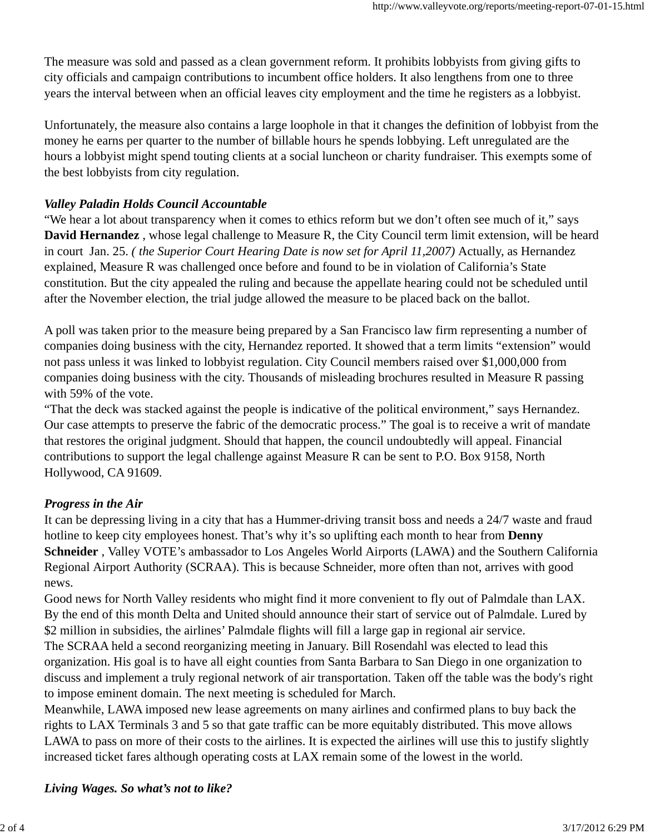The measure was sold and passed as a clean government reform. It prohibits lobbyists from giving gifts to city officials and campaign contributions to incumbent office holders. It also lengthens from one to three years the interval between when an official leaves city employment and the time he registers as a lobbyist.

Unfortunately, the measure also contains a large loophole in that it changes the definition of lobbyist from the money he earns per quarter to the number of billable hours he spends lobbying. Left unregulated are the hours a lobbyist might spend touting clients at a social luncheon or charity fundraiser. This exempts some of the best lobbyists from city regulation.

## *Valley Paladin Holds Council Accountable*

"We hear a lot about transparency when it comes to ethics reform but we don't often see much of it," says **David Hernandez** , whose legal challenge to Measure R, the City Council term limit extension, will be heard in court Jan. 25. *( the Superior Court Hearing Date is now set for April 11,2007)* Actually, as Hernandez explained, Measure R was challenged once before and found to be in violation of California's State constitution. But the city appealed the ruling and because the appellate hearing could not be scheduled until after the November election, the trial judge allowed the measure to be placed back on the ballot.

A poll was taken prior to the measure being prepared by a San Francisco law firm representing a number of companies doing business with the city, Hernandez reported. It showed that a term limits "extension" would not pass unless it was linked to lobbyist regulation. City Council members raised over \$1,000,000 from companies doing business with the city. Thousands of misleading brochures resulted in Measure R passing with 59% of the vote.

"That the deck was stacked against the people is indicative of the political environment," says Hernandez. Our case attempts to preserve the fabric of the democratic process." The goal is to receive a writ of mandate that restores the original judgment. Should that happen, the council undoubtedly will appeal. Financial contributions to support the legal challenge against Measure R can be sent to P.O. Box 9158, North Hollywood, CA 91609.

#### *Progress in the Air*

It can be depressing living in a city that has a Hummer-driving transit boss and needs a 24/7 waste and fraud hotline to keep city employees honest. That's why it's so uplifting each month to hear from **Denny Schneider** , Valley VOTE's ambassador to Los Angeles World Airports (LAWA) and the Southern California Regional Airport Authority (SCRAA). This is because Schneider, more often than not, arrives with good news.

Good news for North Valley residents who might find it more convenient to fly out of Palmdale than LAX. By the end of this month Delta and United should announce their start of service out of Palmdale. Lured by \$2 million in subsidies, the airlines' Palmdale flights will fill a large gap in regional air service.

The SCRAA held a second reorganizing meeting in January. Bill Rosendahl was elected to lead this organization. His goal is to have all eight counties from Santa Barbara to San Diego in one organization to discuss and implement a truly regional network of air transportation. Taken off the table was the body's right to impose eminent domain. The next meeting is scheduled for March.

Meanwhile, LAWA imposed new lease agreements on many airlines and confirmed plans to buy back the rights to LAX Terminals 3 and 5 so that gate traffic can be more equitably distributed. This move allows LAWA to pass on more of their costs to the airlines. It is expected the airlines will use this to justify slightly increased ticket fares although operating costs at LAX remain some of the lowest in the world.

*Living Wages. So what's not to like?*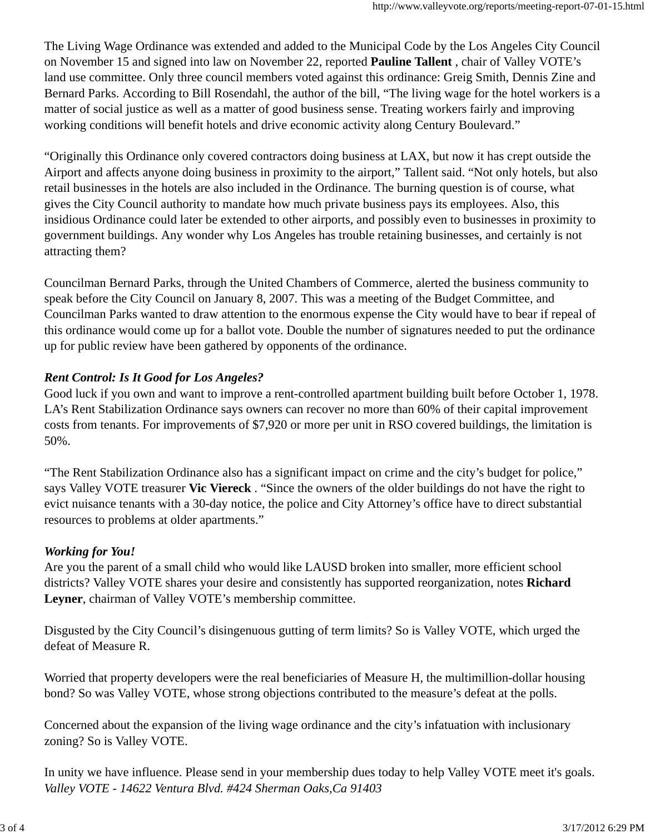The Living Wage Ordinance was extended and added to the Municipal Code by the Los Angeles City Council on November 15 and signed into law on November 22, reported **Pauline Tallent** , chair of Valley VOTE's land use committee. Only three council members voted against this ordinance: Greig Smith, Dennis Zine and Bernard Parks. According to Bill Rosendahl, the author of the bill, "The living wage for the hotel workers is a matter of social justice as well as a matter of good business sense. Treating workers fairly and improving working conditions will benefit hotels and drive economic activity along Century Boulevard."

"Originally this Ordinance only covered contractors doing business at LAX, but now it has crept outside the Airport and affects anyone doing business in proximity to the airport," Tallent said. "Not only hotels, but also retail businesses in the hotels are also included in the Ordinance. The burning question is of course, what gives the City Council authority to mandate how much private business pays its employees. Also, this insidious Ordinance could later be extended to other airports, and possibly even to businesses in proximity to government buildings. Any wonder why Los Angeles has trouble retaining businesses, and certainly is not attracting them?

Councilman Bernard Parks, through the United Chambers of Commerce, alerted the business community to speak before the City Council on January 8, 2007. This was a meeting of the Budget Committee, and Councilman Parks wanted to draw attention to the enormous expense the City would have to bear if repeal of this ordinance would come up for a ballot vote. Double the number of signatures needed to put the ordinance up for public review have been gathered by opponents of the ordinance.

# *Rent Control: Is It Good for Los Angeles?*

Good luck if you own and want to improve a rent-controlled apartment building built before October 1, 1978. LA's Rent Stabilization Ordinance says owners can recover no more than 60% of their capital improvement costs from tenants. For improvements of \$7,920 or more per unit in RSO covered buildings, the limitation is 50%.

"The Rent Stabilization Ordinance also has a significant impact on crime and the city's budget for police," says Valley VOTE treasurer **Vic Viereck** . "Since the owners of the older buildings do not have the right to evict nuisance tenants with a 30-day notice, the police and City Attorney's office have to direct substantial resources to problems at older apartments."

# *Working for You!*

Are you the parent of a small child who would like LAUSD broken into smaller, more efficient school districts? Valley VOTE shares your desire and consistently has supported reorganization, notes **Richard Leyner**, chairman of Valley VOTE's membership committee.

Disgusted by the City Council's disingenuous gutting of term limits? So is Valley VOTE, which urged the defeat of Measure R.

Worried that property developers were the real beneficiaries of Measure H, the multimillion-dollar housing bond? So was Valley VOTE, whose strong objections contributed to the measure's defeat at the polls.

Concerned about the expansion of the living wage ordinance and the city's infatuation with inclusionary zoning? So is Valley VOTE.

In unity we have influence. Please send in your membership dues today to help Valley VOTE meet it's goals. *Valley VOTE - 14622 Ventura Blvd. #424 Sherman Oaks,Ca 91403*